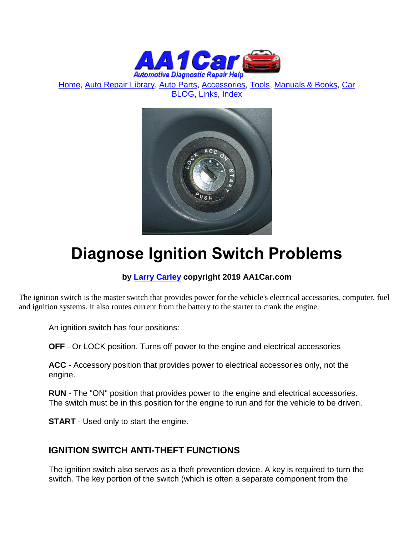

[Home,](http://www.aa1car.com/) [Auto Repair Library,](http://www.aa1car.com/library.htm) [Auto Parts,](http://www.aa1car.com/links_parts.htm) [Accessories,](http://www.aa1car.com/links_accessories.htm) [Tools,](http://www.aa1car.com/links_tools.htm) [Manuals & Books,](http://www.aa1car.com/links_books.htm) [Car](http://www.aa1car.com/blog/blog.htm)  [BLOG,](http://www.aa1car.com/blog/blog.htm) [Links,](http://www.aa1car.com/links.htm) [Index](http://www.aa1car.com/index_alphabetical.htm)



# **Diagnose Ignition Switch Problems**

#### **by [Larry Carley](https://www.aa1car.com/larrypage/larrycarley_photos.htm) copyright 2019 AA1Car.com**

The ignition switch is the master switch that provides power for the vehicle's electrical accessories, computer, fuel and ignition systems. It also routes current from the battery to the starter to crank the engine.

An ignition switch has four positions:

**OFF** - Or LOCK position, Turns off power to the engine and electrical accessories

**ACC** - Accessory position that provides power to electrical accessories only, not the engine.

**RUN** - The "ON" position that provides power to the engine and electrical accessories. The switch must be in this position for the engine to run and for the vehicle to be driven.

**START** - Used only to start the engine.

#### **IGNITION SWITCH ANTI-THEFT FUNCTIONS**

The ignition switch also serves as a theft prevention device. A key is required to turn the switch. The key portion of the switch (which is often a separate component from the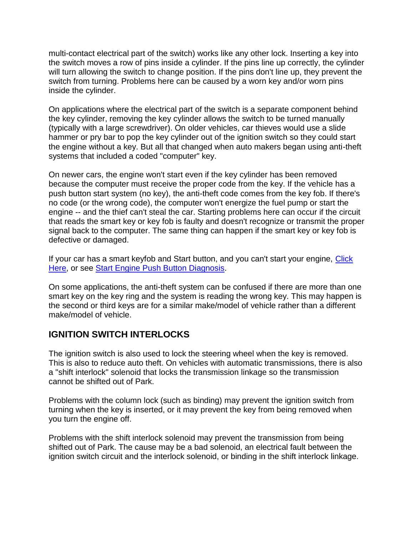multi-contact electrical part of the switch) works like any other lock. Inserting a key into the switch moves a row of pins inside a cylinder. If the pins line up correctly, the cylinder will turn allowing the switch to change position. If the pins don't line up, they prevent the switch from turning. Problems here can be caused by a worn key and/or worn pins inside the cylinder.

On applications where the electrical part of the switch is a separate component behind the key cylinder, removing the key cylinder allows the switch to be turned manually (typically with a large screwdriver). On older vehicles, car thieves would use a slide hammer or pry bar to pop the key cylinder out of the ignition switch so they could start the engine without a key. But all that changed when auto makers began using anti-theft systems that included a coded "computer" key.

On newer cars, the engine won't start even if the key cylinder has been removed because the computer must receive the proper code from the key. If the vehicle has a push button start system (no key), the anti-theft code comes from the key fob. If there's no code (or the wrong code), the computer won't energize the fuel pump or start the engine -- and the thief can't steal the car. Starting problems here can occur if the circuit that reads the smart key or key fob is faulty and doesn't recognize or transmit the proper signal back to the computer. The same thing can happen if the smart key or key fob is defective or damaged.

If your car has a smart keyfob and Start button, and you can't start your engine, Click [Here,](http://www.aa1car.com/library/keyfob_wont_start_car.htm) or see [Start Engine Push Button Diagnosis.](http://www.aa1car.com/library/push_button_start_system.htm)

On some applications, the anti-theft system can be confused if there are more than one smart key on the key ring and the system is reading the wrong key. This may happen is the second or third keys are for a similar make/model of vehicle rather than a different make/model of vehicle.

#### **IGNITION SWITCH INTERLOCKS**

The ignition switch is also used to lock the steering wheel when the key is removed. This is also to reduce auto theft. On vehicles with automatic transmissions, there is also a "shift interlock" solenoid that locks the transmission linkage so the transmission cannot be shifted out of Park.

Problems with the column lock (such as binding) may prevent the ignition switch from turning when the key is inserted, or it may prevent the key from being removed when you turn the engine off.

Problems with the shift interlock solenoid may prevent the transmission from being shifted out of Park. The cause may be a bad solenoid, an electrical fault between the ignition switch circuit and the interlock solenoid, or binding in the shift interlock linkage.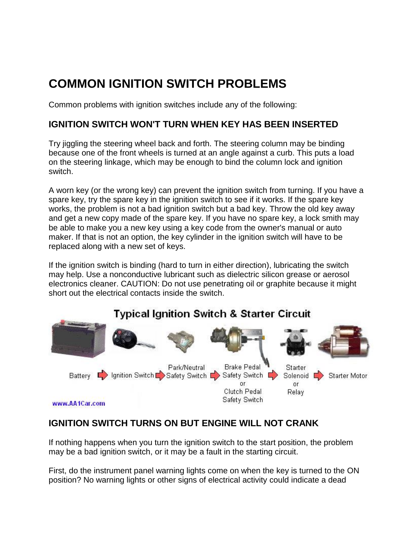## **COMMON IGNITION SWITCH PROBLEMS**

Common problems with ignition switches include any of the following:

#### **IGNITION SWITCH WON'T TURN WHEN KEY HAS BEEN INSERTED**

Try jiggling the steering wheel back and forth. The steering column may be binding because one of the front wheels is turned at an angle against a curb. This puts a load on the steering linkage, which may be enough to bind the column lock and ignition switch.

A worn key (or the wrong key) can prevent the ignition switch from turning. If you have a spare key, try the spare key in the ignition switch to see if it works. If the spare key works, the problem is not a bad ignition switch but a bad key. Throw the old key away and get a new copy made of the spare key. If you have no spare key, a lock smith may be able to make you a new key using a key code from the owner's manual or auto maker. If that is not an option, the key cylinder in the ignition switch will have to be replaced along with a new set of keys.

If the ignition switch is binding (hard to turn in either direction), lubricating the switch may help. Use a nonconductive lubricant such as dielectric silicon grease or aerosol electronics cleaner. CAUTION: Do not use penetrating oil or graphite because it might short out the electrical contacts inside the switch.

#### **Typical Ignition Switch & Starter Circuit** Park/Neutral **Brake Pedal** Starter Battery **E** Ignition Switch B Safety Switch B Safety Switch E Solenoid Starter Motor or. or Clutch Pedal Relay Safety Switch www.AA1Car.com

### **IGNITION SWITCH TURNS ON BUT ENGINE WILL NOT CRANK**

If nothing happens when you turn the ignition switch to the start position, the problem may be a bad ignition switch, or it may be a fault in the starting circuit.

First, do the instrument panel warning lights come on when the key is turned to the ON position? No warning lights or other signs of electrical activity could indicate a dead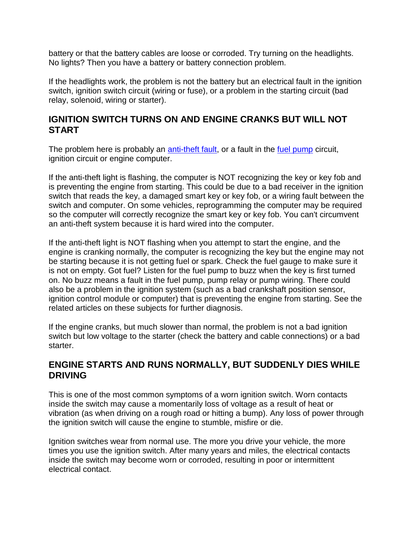battery or that the battery cables are loose or corroded. Try turning on the headlights. No lights? Then you have a battery or battery connection problem.

If the headlights work, the problem is not the battery but an electrical fault in the ignition switch, ignition switch circuit (wiring or fuse), or a problem in the starting circuit (bad relay, solenoid, wiring or starter).

#### **IGNITION SWITCH TURNS ON AND ENGINE CRANKS BUT WILL NOT START**

The problem here is probably an [anti-theft fault,](http://www.aa1car.com/library/troubleshoot_antitheft_system.htm) or a fault in the [fuel pump](http://www.aa1car.com/library/fuel_pump_diagnose.htm) circuit, ignition circuit or engine computer.

If the anti-theft light is flashing, the computer is NOT recognizing the key or key fob and is preventing the engine from starting. This could be due to a bad receiver in the ignition switch that reads the key, a damaged smart key or key fob, or a wiring fault between the switch and computer. On some vehicles, reprogramming the computer may be required so the computer will correctly recognize the smart key or key fob. You can't circumvent an anti-theft system because it is hard wired into the computer.

If the anti-theft light is NOT flashing when you attempt to start the engine, and the engine is cranking normally, the computer is recognizing the key but the engine may not be starting because it is not getting fuel or spark. Check the fuel gauge to make sure it is not on empty. Got fuel? Listen for the fuel pump to buzz when the key is first turned on. No buzz means a fault in the fuel pump, pump relay or pump wiring. There could also be a problem in the ignition system (such as a bad crankshaft position sensor, ignition control module or computer) that is preventing the engine from starting. See the related articles on these subjects for further diagnosis.

If the engine cranks, but much slower than normal, the problem is not a bad ignition switch but low voltage to the starter (check the battery and cable connections) or a bad starter.

#### **ENGINE STARTS AND RUNS NORMALLY, BUT SUDDENLY DIES WHILE DRIVING**

This is one of the most common symptoms of a worn ignition switch. Worn contacts inside the switch may cause a momentarily loss of voltage as a result of heat or vibration (as when driving on a rough road or hitting a bump). Any loss of power through the ignition switch will cause the engine to stumble, misfire or die.

Ignition switches wear from normal use. The more you drive your vehicle, the more times you use the ignition switch. After many years and miles, the electrical contacts inside the switch may become worn or corroded, resulting in poor or intermittent electrical contact.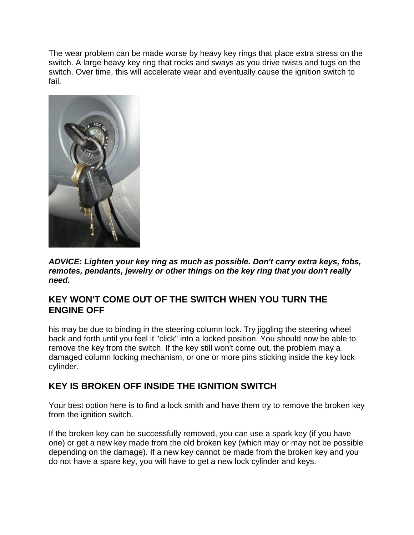The wear problem can be made worse by heavy key rings that place extra stress on the switch. A large heavy key ring that rocks and sways as you drive twists and tugs on the switch. Over time, this will accelerate wear and eventually cause the ignition switch to fail.



*ADVICE: Lighten your key ring as much as possible. Don't carry extra keys, fobs, remotes, pendants, jewelry or other things on the key ring that you don't really need.*

#### **KEY WON'T COME OUT OF THE SWITCH WHEN YOU TURN THE ENGINE OFF**

his may be due to binding in the steering column lock. Try jiggling the steering wheel back and forth until you feel it "click" into a locked position. You should now be able to remove the key from the switch. If the key still won't come out, the problem may a damaged column locking mechanism, or one or more pins sticking inside the key lock cylinder.

#### **KEY IS BROKEN OFF INSIDE THE IGNITION SWITCH**

Your best option here is to find a lock smith and have them try to remove the broken key from the ignition switch.

If the broken key can be successfully removed, you can use a spark key (if you have one) or get a new key made from the old broken key (which may or may not be possible depending on the damage). If a new key cannot be made from the broken key and you do not have a spare key, you will have to get a new lock cylinder and keys.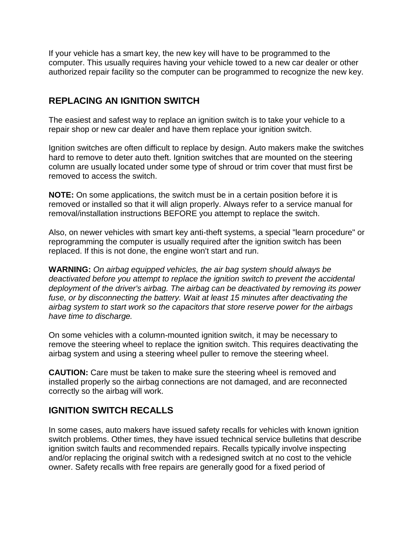If your vehicle has a smart key, the new key will have to be programmed to the computer. This usually requires having your vehicle towed to a new car dealer or other authorized repair facility so the computer can be programmed to recognize the new key.

#### **REPLACING AN IGNITION SWITCH**

The easiest and safest way to replace an ignition switch is to take your vehicle to a repair shop or new car dealer and have them replace your ignition switch.

Ignition switches are often difficult to replace by design. Auto makers make the switches hard to remove to deter auto theft. Ignition switches that are mounted on the steering column are usually located under some type of shroud or trim cover that must first be removed to access the switch.

**NOTE:** On some applications, the switch must be in a certain position before it is removed or installed so that it will align properly. Always refer to a service manual for removal/installation instructions BEFORE you attempt to replace the switch.

Also, on newer vehicles with smart key anti-theft systems, a special "learn procedure" or reprogramming the computer is usually required after the ignition switch has been replaced. If this is not done, the engine won't start and run.

**WARNING:** *On airbag equipped vehicles, the air bag system should always be deactivated before you attempt to replace the ignition switch to prevent the accidental deployment of the driver's airbag. The airbag can be deactivated by removing its power fuse, or by disconnecting the battery. Wait at least 15 minutes after deactivating the airbag system to start work so the capacitors that store reserve power for the airbags have time to discharge.*

On some vehicles with a column-mounted ignition switch, it may be necessary to remove the steering wheel to replace the ignition switch. This requires deactivating the airbag system and using a steering wheel puller to remove the steering wheel.

**CAUTION:** Care must be taken to make sure the steering wheel is removed and installed properly so the airbag connections are not damaged, and are reconnected correctly so the airbag will work.

#### **IGNITION SWITCH RECALLS**

In some cases, auto makers have issued safety recalls for vehicles with known ignition switch problems. Other times, they have issued technical service bulletins that describe ignition switch faults and recommended repairs. Recalls typically involve inspecting and/or replacing the original switch with a redesigned switch at no cost to the vehicle owner. Safety recalls with free repairs are generally good for a fixed period of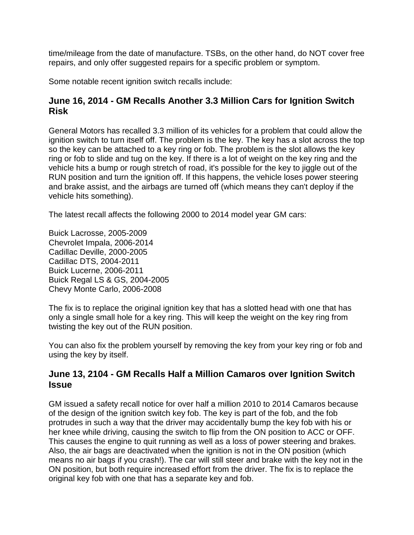time/mileage from the date of manufacture. TSBs, on the other hand, do NOT cover free repairs, and only offer suggested repairs for a specific problem or symptom.

Some notable recent ignition switch recalls include:

#### **June 16, 2014 - GM Recalls Another 3.3 Million Cars for Ignition Switch Risk**

General Motors has recalled 3.3 million of its vehicles for a problem that could allow the ignition switch to turn itself off. The problem is the key. The key has a slot across the top so the key can be attached to a key ring or fob. The problem is the slot allows the key ring or fob to slide and tug on the key. If there is a lot of weight on the key ring and the vehicle hits a bump or rough stretch of road, it's possible for the key to jiggle out of the RUN position and turn the ignition off. If this happens, the vehicle loses power steering and brake assist, and the airbags are turned off (which means they can't deploy if the vehicle hits something).

The latest recall affects the following 2000 to 2014 model year GM cars:

Buick Lacrosse, 2005-2009 Chevrolet Impala, 2006-2014 Cadillac Deville, 2000-2005 Cadillac DTS, 2004-2011 Buick Lucerne, 2006-2011 Buick Regal LS & GS, 2004-2005 Chevy Monte Carlo, 2006-2008

The fix is to replace the original ignition key that has a slotted head with one that has only a single small hole for a key ring. This will keep the weight on the key ring from twisting the key out of the RUN position.

You can also fix the problem yourself by removing the key from your key ring or fob and using the key by itself.

#### **June 13, 2104 - GM Recalls Half a Million Camaros over Ignition Switch Issue**

GM issued a safety recall notice for over half a million 2010 to 2014 Camaros because of the design of the ignition switch key fob. The key is part of the fob, and the fob protrudes in such a way that the driver may accidentally bump the key fob with his or her knee while driving, causing the switch to flip from the ON position to ACC or OFF. This causes the engine to quit running as well as a loss of power steering and brakes. Also, the air bags are deactivated when the ignition is not in the ON position (which means no air bags if you crash!). The car will still steer and brake with the key not in the ON position, but both require increased effort from the driver. The fix is to replace the original key fob with one that has a separate key and fob.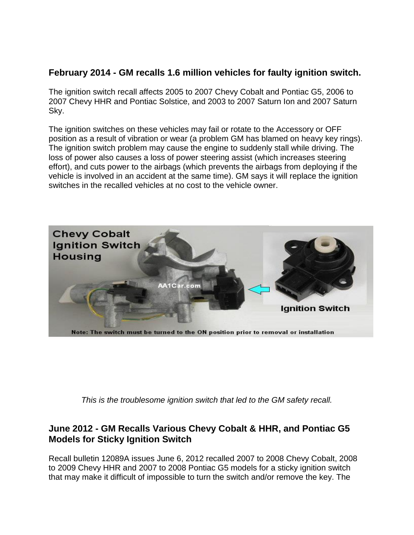#### **February 2014 - GM recalls 1.6 million vehicles for faulty ignition switch.**

The ignition switch recall affects 2005 to 2007 Chevy Cobalt and Pontiac G5, 2006 to 2007 Chevy HHR and Pontiac Solstice, and 2003 to 2007 Saturn Ion and 2007 Saturn Sky.

The ignition switches on these vehicles may fail or rotate to the Accessory or OFF position as a result of vibration or wear (a problem GM has blamed on heavy key rings). The ignition switch problem may cause the engine to suddenly stall while driving. The loss of power also causes a loss of power steering assist (which increases steering effort), and cuts power to the airbags (which prevents the airbags from deploying if the vehicle is involved in an accident at the same time). GM says it will replace the ignition switches in the recalled vehicles at no cost to the vehicle owner.



*This is the troublesome ignition switch that led to the GM safety recall.*

#### **June 2012 - GM Recalls Various Chevy Cobalt & HHR, and Pontiac G5 Models for Sticky Ignition Switch**

Recall bulletin 12089A issues June 6, 2012 recalled 2007 to 2008 Chevy Cobalt, 2008 to 2009 Chevy HHR and 2007 to 2008 Pontiac G5 models for a sticky ignition switch that may make it difficult of impossible to turn the switch and/or remove the key. The